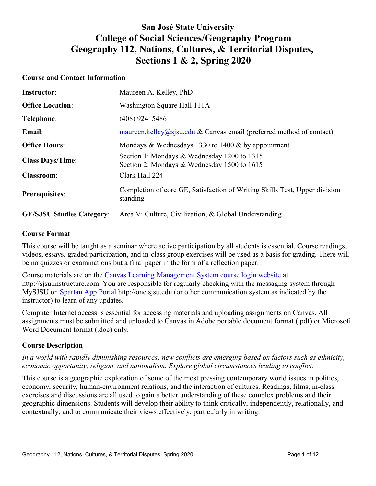# **San José State University College of Social Sciences/Geography Program Geography 112, Nations, Cultures, & Territorial Disputes, Sections 1 & 2, Spring 2020**

## **Course and Contact Information**

| <b>Instructor:</b>               | Maureen A. Kelley, PhD                                                                     |
|----------------------------------|--------------------------------------------------------------------------------------------|
| <b>Office Location:</b>          | Washington Square Hall 111A                                                                |
| Telephone:                       | $(408)$ 924–5486                                                                           |
| Email:                           | $maureen.kelley@sjsu.edu & Canvas email (preferred method of contact)$                     |
| <b>Office Hours:</b>             | Mondays & Wednesdays 1330 to 1400 $\&$ by appointment                                      |
| <b>Class Days/Time:</b>          | Section 1: Mondays & Wednesday 1200 to 1315<br>Section 2: Mondays & Wednesday 1500 to 1615 |
| <b>Classroom:</b>                | Clark Hall 224                                                                             |
| <b>Prerequisites:</b>            | Completion of core GE, Satisfaction of Writing Skills Test, Upper division<br>standing     |
| <b>GE/SJSU Studies Category:</b> | Area V: Culture, Civilization, & Global Understanding                                      |

## **Course Format**

This course will be taught as a seminar where active participation by all students is essential. Course readings, videos, essays, graded participation, and in-class group exercises will be used as a basis for grading. There will be no quizzes or examinations but a final paper in the form of a reflection paper.

Course materials are on the [Canvas Learning Management System course login website](file:///C:%5CUsers%5CSpain%5CDesktop%5C2018%5COutreach%5CCanvas%20Learning%20Management%20System%20course%20login%20website) at http://sjsu.instructure.com. You are responsible for regularly checking with the messaging system through MySJSU on [Spartan App Portal](http://one.sjsu.edu/) http://one.sjsu.edu (or other communication system as indicated by the instructor) to learn of any updates.

Computer Internet access is essential for accessing materials and uploading assignments on Canvas. All assignments must be submitted and uploaded to Canvas in Adobe portable document format (.pdf) or Microsoft Word Document format (.doc) only.

# **Course Description**

*In a world with rapidly diminishing resources; new conflicts are emerging based on factors such as ethnicity, economic opportunity, religion, and nationalism. Explore global circumstances leading to conflict.* 

This course is a geographic exploration of some of the most pressing contemporary world issues in politics, economy, security, human-environment relations, and the interaction of cultures. Readings, films, in-class exercises and discussions are all used to gain a better understanding of these complex problems and their geographic dimensions. Students will develop their ability to think critically, independently, relationally, and contextually; and to communicate their views effectively, particularly in writing.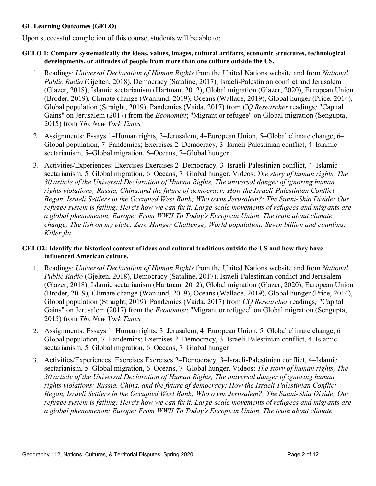### **GE Learning Outcomes (GELO)**

Upon successful completion of this course, students will be able to:

### **GELO 1: Compare systematically the ideas, values, images, cultural artifacts, economic structures, technological developments, or attitudes of people from more than one culture outside the US.**

- 1. Readings: *Universal Declaration of Human Rights* from the United Nations website and from *National Public Radio* (Gjelten, 2018), Democracy (Sataline, 2017), Israeli-Palestinian conflict and Jerusalem (Glazer, 2018), Islamic sectarianism (Hartman, 2012), Global migration (Glazer, 2020), European Union (Broder, 2019), Climate change (Wanlund, 2019), Oceans (Wallace, 2019), Global hunger (Price, 2014), Global population (Straight, 2019), Pandemics (Vaida, 2017) from *CQ Researcher* readings*;* "Capital Gains" on Jerusalem (2017) from the *Economist*; "Migrant or refugee" on Global migration (Sengupta, 2015) from *The New York Times*
- 2. Assignments: Essays 1–Human rights, 3–Jerusalem, 4–European Union, 5–Global climate change, 6– Global population, 7–Pandemics; Exercises 2–Democracy, 3–Israeli-Palestinian conflict, 4–Islamic sectarianism, 5–Global migration, 6–Oceans, 7–Global hunger
- 3. Activities/Experiences: Exercises Exercises 2–Democracy, 3–Israeli-Palestinian conflict, 4–Islamic sectarianism, 5‒Global migration, 6‒Oceans, 7‒Global hunger. Videos: *The story of human rights, The 30 article of the Universal Declaration of Human Rights, The universal danger of ignoring human rights violations; Russia, China,and the future of democracy; How the Israeli-Palestinian Conflict Began, Israeli Settlers in the Occupied West Bank; Who owns Jerusalem?; The Sunni-Shia Divide; Our refugee system is failing: Here's how we can fix it, Large-scale movements of refugees and migrants are a global phenomenon; Europe: From WWII To Today's European Union, The truth about climate change; The fish on my plate; Zero Hunger Challenge; World population: Seven billion and counting; Killer flu*

# **GELO2: Identify the historical context of ideas and cultural traditions outside the US and how they have influenced American culture.**

- 1. Readings: *Universal Declaration of Human Rights* from the United Nations website and from *National Public Radio* (Gjelten, 2018), Democracy (Sataline, 2017), Israeli-Palestinian conflict and Jerusalem (Glazer, 2018), Islamic sectarianism (Hartman, 2012), Global migration (Glazer, 2020), European Union (Broder, 2019), Climate change (Wanlund, 2019), Oceans (Wallace, 2019), Global hunger (Price, 2014), Global population (Straight, 2019), Pandemics (Vaida, 2017) from *CQ Researcher* readings*;* "Capital Gains" on Jerusalem (2017) from the *Economist*; "Migrant or refugee" on Global migration (Sengupta, 2015) from *The New York Times*
- 2. Assignments: Essays 1–Human rights, 3–Jerusalem, 4–European Union, 5–Global climate change, 6– Global population, 7–Pandemics; Exercises 2–Democracy, 3–Israeli-Palestinian conflict, 4–Islamic sectarianism, 5–Global migration, 6–Oceans, 7–Global hunger
- 3. Activities/Experiences: Exercises Exercises 2‒Democracy, 3‒Israeli-Palestinian conflict, 4‒Islamic sectarianism, 5‒Global migration, 6‒Oceans, 7‒Global hunger. Videos: *The story of human rights, The 30 article of the Universal Declaration of Human Rights, The universal danger of ignoring human rights violations; Russia, China, and the future of democracy; How the Israeli-Palestinian Conflict Began, Israeli Settlers in the Occupied West Bank; Who owns Jerusalem?; The Sunni-Shia Divide; Our refugee system is failing: Here's how we can fix it, Large-scale movements of refugees and migrants are a global phenomenon; Europe: From WWII To Today's European Union, The truth about climate*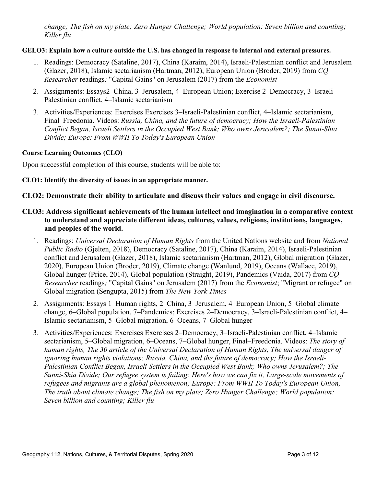*change; The fish on my plate; Zero Hunger Challenge; World population: Seven billion and counting; Killer flu*

## **GELO3: Explain how a culture outside the U.S. has changed in response to internal and external pressures.**

- 1. Readings: Democracy (Sataline, 2017), China (Karaim, 2014), Israeli-Palestinian conflict and Jerusalem (Glazer, 2018), Islamic sectarianism (Hartman, 2012), European Union (Broder, 2019) from *CQ Researcher* readings*;* "Capital Gains" on Jerusalem (2017) from the *Economist*
- 2. Assignments: Essays2–China, 3–Jerusalem, 4–European Union; Exercise 2–Democracy, 3–Israeli-Palestinian conflict, 4‒Islamic sectarianism
- 3. Activities/Experiences: Exercises Exercises 3‒Israeli-Palestinian conflict, 4‒Islamic sectarianism, Final‒Freedonia. Videos: *Russia, China, and the future of democracy; How the Israeli-Palestinian Conflict Began, Israeli Settlers in the Occupied West Bank; Who owns Jerusalem?; The Sunni-Shia Divide; Europe: From WWII To Today's European Union*

#### **Course Learning Outcomes (CLO)**

Upon successful completion of this course, students will be able to:

## **CLO1: Identify the diversity of issues in an appropriate manner.**

# **CLO2: Demonstrate their ability to articulate and discuss their values and engage in civil discourse.**

- **CLO3: Address significant achievements of the human intellect and imagination in a comparative context to understand and appreciate different ideas, cultures, values, religions, institutions, languages, and peoples of the world.**
	- 1. Readings: *Universal Declaration of Human Rights* from the United Nations website and from *National Public Radio* (Gjelten, 2018), Democracy (Sataline, 2017), China (Karaim, 2014), Israeli-Palestinian conflict and Jerusalem (Glazer, 2018), Islamic sectarianism (Hartman, 2012), Global migration (Glazer, 2020), European Union (Broder, 2019), Climate change (Wanlund, 2019), Oceans (Wallace, 2019), Global hunger (Price, 2014), Global population (Straight, 2019), Pandemics (Vaida, 2017) from *CQ Researcher* readings*;* "Capital Gains" on Jerusalem (2017) from the *Economist*; "Migrant or refugee" on Global migration (Sengupta, 2015) from *The New York Times*
	- 2. Assignments: Essays 1–Human rights, 2–China, 3–Jerusalem, 4–European Union, 5–Global climate change, 6–Global population, 7–Pandemics; Exercises 2–Democracy, 3–Israeli-Palestinian conflict, 4– Islamic sectarianism, 5‒Global migration, 6‒Oceans, 7‒Global hunger
	- 3. Activities/Experiences: Exercises Exercises 2–Democracy, 3–Israeli-Palestinian conflict, 4–Islamic sectarianism, 5–Global migration, 6–Oceans, 7–Global hunger, Final–Freedonia. Videos: *The story of human rights, The 30 article of the Universal Declaration of Human Rights, The universal danger of ignoring human rights violations; Russia, China, and the future of democracy; How the Israeli-Palestinian Conflict Began, Israeli Settlers in the Occupied West Bank; Who owns Jerusalem?; The Sunni-Shia Divide; Our refugee system is failing: Here's how we can fix it, Large-scale movements of refugees and migrants are a global phenomenon; Europe: From WWII To Today's European Union, The truth about climate change; The fish on my plate; Zero Hunger Challenge; World population: Seven billion and counting; Killer flu*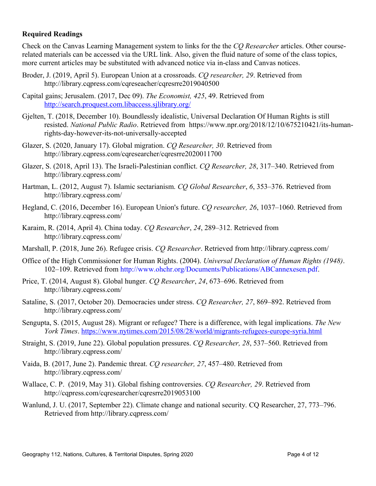# **Required Readings**

Check on the Canvas Learning Management system to links for the the *CQ Researcher* articles. Other courserelated materials can be accessed via the URL link. Also, given the fluid nature of some of the class topics, more current articles may be substituted with advanced notice via in-class and Canvas notices.

- Broder, J. (2019, April 5). European Union at a crossroads. *CQ researcher, 29*. Retrieved from http://library.cqpress.com/cqreseacher/cqresrre2019040500
- Capital gains; Jerusalem. (2017, Dec 09). *The Economist, 425*, 49. Retrieved from <http://search.proquest.com.libaccess.sjlibrary.org/>
- Gjelten, T. (2018, December 10). Boundlessly idealistic, Universal Declaration Of Human Rights is still resisted. *National Public Radio*. Retrieved from https://www.npr.org/2018/12/10/675210421/its-humanrights-day-however-its-not-universally-accepted
- Glazer, S. (2020, January 17). Global migration. *CQ Researcher, 30*. Retrieved from http://library.cqpress.com/cqresearcher/cqresrre2020011700
- Glazer, S. (2018, April 13). The Israeli-Palestinian conflict. *CO Researcher*, 28, 317–340. Retrieved from http://library.cqpress.com/
- Hartman, L. (2012, August 7). Islamic sectarianism. *CQ Global Researcher*, *6*, 353‒376. Retrieved from http://library.cqpress.com/
- Hegland, C. (2016, December 16). European Union's future. *CO researcher*, 26, 1037–1060. Retrieved from http://library.cqpress.com/
- Karaim, R. (2014, April 4). China today. *CQ Researcher*, *24*, 289‒312. Retrieved from http://library.cqpress.com/
- Marshall, P. (2018, June 26). Refugee crisis. *CQ Researcher*. Retrieved from http://library.cqpress.com/
- Office of the High Commissioner for Human Rights. (2004). *Universal Declaration of Human Rights (1948)*. 102‒109. Retrieved from [http://www.ohchr.org/Documents/Publications/ABCannexesen.pdf.](http://www.ohchr.org/Documents/Publications/ABCannexesen.pdf)
- Price, T. (2014, August 8). Global hunger. *CQ Researcher*, 24, 673–696. Retrieved from http://library.cqpress.com/
- Sataline, S. (2017, October 20). Democracies under stress. *CQ Researcher, 27*, 869–892. Retrieved from http://library.cqpress.com/
- Sengupta, S. (2015, August 28). Migrant or refugee? There is a difference, with legal implications. *The New York Times*.<https://www.nytimes.com/2015/08/28/world/migrants-refugees-europe-syria.html>
- Straight, S. (2019, June 22). Global population pressures. *CO Researcher*, 28, 537–560. Retrieved from http://library.cqpress.com/
- Vaida, B. (2017, June 2). Pandemic threat. *CQ researcher*, 27, 457-480. Retrieved from http://library.cqpress.com/
- Wallace, C. P. (2019, May 31). Global fishing controversies. *CQ Researcher, 29*. Retrieved from http://cqpress.com/cqresearcher/cqresrre2019053100
- Wanlund, J. U. (2017, September 22). Climate change and national security. CQ Researcher, 27, 773–796. Retrieved from http://library.cqpress.com/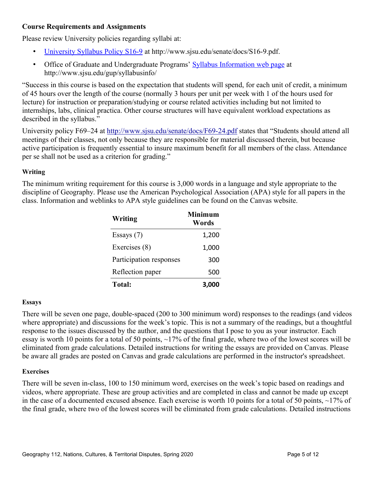# **Course Requirements and Assignments**

Please review University policies regarding syllabi at:

- [University Syllabus Policy S16-9](http://www.sjsu.edu/senate/docs/S16-9.pdf) at http://www.sjsu.edu/senate/docs/S16-9.pdf.
- Office of Graduate and Undergraduate Programs' [Syllabus Information web page](http://www.sjsu.edu/gup/syllabusinfo/) at http://www.sjsu.edu/gup/syllabusinfo/

"Success in this course is based on the expectation that students will spend, for each unit of credit, a minimum of 45 hours over the length of the course (normally 3 hours per unit per week with 1 of the hours used for lecture) for instruction or preparation/studying or course related activities including but not limited to internships, labs, clinical practica. Other course structures will have equivalent workload expectations as described in the syllabus."

University policy F69–24 at<http://www.sjsu.edu/senate/docs/F69-24.pdf>states that "Students should attend all meetings of their classes, not only because they are responsible for material discussed therein, but because active participation is frequently essential to insure maximum benefit for all members of the class. Attendance per se shall not be used as a criterion for grading."

# **Writing**

The minimum writing requirement for this course is 3,000 words in a language and style appropriate to the discipline of Geography. Please use the American Psychological Association (APA) style for all papers in the class. Information and weblinks to APA style guidelines can be found on the Canvas website.

| Writing                 | Minimum<br>Words |
|-------------------------|------------------|
| Essays $(7)$            | 1,200            |
| Exercises (8)           | 1,000            |
| Participation responses | 300              |
| Reflection paper        | 500              |
| <b>Total:</b>           | 3.000            |

# **Essays**

There will be seven one page, double-spaced (200 to 300 minimum word) responses to the readings (and videos where appropriate) and discussions for the week's topic. This is not a summary of the readings, but a thoughtful response to the issues discussed by the author, and the questions that I pose to you as your instructor. Each essay is worth 10 points for a total of 50 points, ~17% of the final grade, where two of the lowest scores will be eliminated from grade calculations. Detailed instructions for writing the essays are provided on Canvas. Please be aware all grades are posted on Canvas and grade calculations are performed in the instructor's spreadsheet.

# **Exercises**

There will be seven in-class, 100 to 150 minimum word, exercises on the week's topic based on readings and videos, where appropriate. These are group activities and are completed in class and cannot be made up except in the case of a documented excused absence. Each exercise is worth 10 points for a total of 50 points, ~17% of the final grade, where two of the lowest scores will be eliminated from grade calculations. Detailed instructions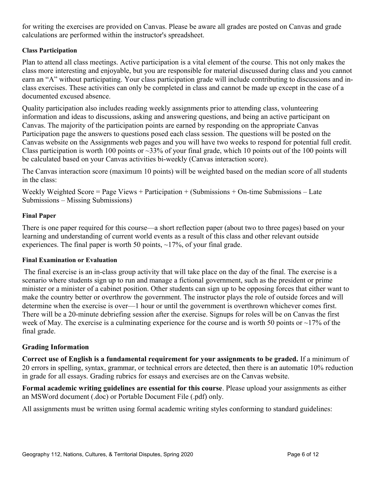for writing the exercises are provided on Canvas. Please be aware all grades are posted on Canvas and grade calculations are performed within the instructor's spreadsheet.

# **Class Participation**

Plan to attend all class meetings. Active participation is a vital element of the course. This not only makes the class more interesting and enjoyable, but you are responsible for material discussed during class and you cannot earn an "A" without participating. Your class participation grade will include contributing to discussions and inclass exercises. These activities can only be completed in class and cannot be made up except in the case of a documented excused absence.

Quality participation also includes reading weekly assignments prior to attending class, volunteering information and ideas to discussions, asking and answering questions, and being an active participant on Canvas. The majority of the participation points are earned by responding on the appropriate Canvas Participation page the answers to questions posed each class session. The questions will be posted on the Canvas website on the Assignments web pages and you will have two weeks to respond for potential full credit. Class participation is worth 100 points or  $\sim$ 33% of your final grade, which 10 points out of the 100 points will be calculated based on your Canvas activities bi-weekly (Canvas interaction score).

The Canvas interaction score (maximum 10 points) will be weighted based on the median score of all students in the class:

Weekly Weighted Score = Page Views + Participation + (Submissions + On-time Submissions – Late Submissions – Missing Submissions)

# **Final Paper**

There is one paper required for this course—a short reflection paper (about two to three pages) based on your learning and understanding of current world events as a result of this class and other relevant outside experiences. The final paper is worth 50 points,  $\sim$ 17%, of your final grade.

#### **Final Examination or Evaluation**

 The final exercise is an in-class group activity that will take place on the day of the final. The exercise is a scenario where students sign up to run and manage a fictional government, such as the president or prime minister or a minister of a cabinet position. Other students can sign up to be opposing forces that either want to make the country better or overthrow the government. The instructor plays the role of outside forces and will determine when the exercise is over—1 hour or until the government is overthrown whichever comes first. There will be a 20-minute debriefing session after the exercise. Signups for roles will be on Canvas the first week of May. The exercise is a culminating experience for the course and is worth 50 points or  $\sim$ 17% of the final grade.

# **Grading Information**

**Correct use of English is a fundamental requirement for your assignments to be graded.** If a minimum of 20 errors in spelling, syntax, grammar, or technical errors are detected, then there is an automatic 10% reduction in grade for all essays. Grading rubrics for essays and exercises are on the Canvas website.

**Formal academic writing guidelines are essential for this course**. Please upload your assignments as either an MSWord document (.doc) or Portable Document File (.pdf) only.

All assignments must be written using formal academic writing styles conforming to standard guidelines: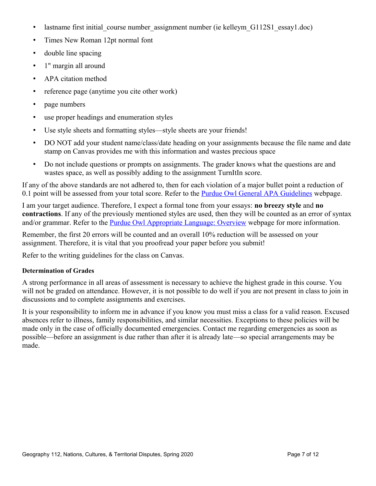- lastname first initial course number assignment number (ie kelleym G112S1 essay1.doc)
- Times New Roman 12pt normal font
- double line spacing
- 1" margin all around
- APA citation method
- reference page (anytime you cite other work)
- page numbers
- use proper headings and enumeration styles
- Use style sheets and formatting styles—style sheets are your friends!
- DO NOT add your student name/class/date heading on your assignments because the file name and date stamp on Canvas provides me with this information and wastes precious space
- Do not include questions or prompts on assignments. The grader knows what the questions are and wastes space, as well as possibly adding to the assignment TurnItIn score.

If any of the above standards are not adhered to, then for each violation of a major bullet point a reduction of 0.1 point will be assessed from your total score. Refer to the [Purdue Owl General APA Guidelines](https://owl.english.purdue.edu/owl/resource/560/01/) webpage.

I am your target audience. Therefore, I expect a formal tone from your essays: **no breezy style** and **no contractions**. If any of the previously mentioned styles are used, then they will be counted as an error of syntax and/or grammar. Refer to the **Purdue Owl Appropriate Language: Overview** webpage for more information.

Remember, the first 20 errors will be counted and an overall 10% reduction will be assessed on your assignment. Therefore, it is vital that you proofread your paper before you submit!

Refer to the writing guidelines for the class on Canvas.

#### **Determination of Grades**

A strong performance in all areas of assessment is necessary to achieve the highest grade in this course. You will not be graded on attendance. However, it is not possible to do well if you are not present in class to join in discussions and to complete assignments and exercises.

It is your responsibility to inform me in advance if you know you must miss a class for a valid reason. Excused absences refer to illness, family responsibilities, and similar necessities. Exceptions to these policies will be made only in the case of officially documented emergencies. Contact me regarding emergencies as soon as possible—before an assignment is due rather than after it is already late—so special arrangements may be made.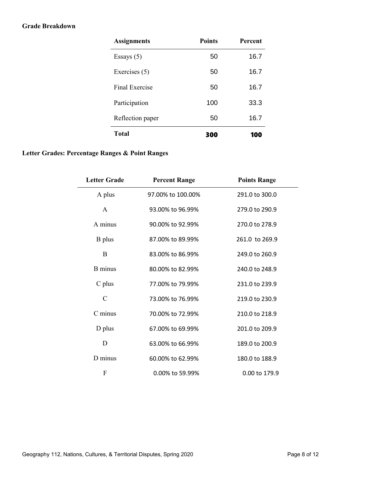#### **Grade Breakdown**

| <b>Assignments</b> | <b>Points</b> | <b>Percent</b> |
|--------------------|---------------|----------------|
| Essays $(5)$       | 50            | 16.7           |
| Exercises (5)      | 50            | 16.7           |
| Final Exercise     | 50            | 16.7           |
| Participation      | 100           | 33.3           |
| Reflection paper   | 50            | 16.7           |
| Total              | 300           | 100            |

# **Letter Grades: Percentage Ranges & Point Ranges**

| <b>Letter Grade</b> | <b>Percent Range</b> | <b>Points Range</b> |
|---------------------|----------------------|---------------------|
| A plus              | 97.00% to 100.00%    | 291.0 to 300.0      |
| $\mathbf{A}$        | 93.00% to 96.99%     | 279.0 to 290.9      |
| A minus             | 90.00% to 92.99%     | 270.0 to 278.9      |
| B plus              | 87.00% to 89.99%     | 261.0 to 269.9      |
| B                   | 83.00% to 86.99%     | 249.0 to 260.9      |
| <b>B</b> minus      | 80.00% to 82.99%     | 240.0 to 248.9      |
| $C$ plus            | 77.00% to 79.99%     | 231.0 to 239.9      |
| $\mathcal{C}$       | 73,00% to 76,99%     | 219.0 to 230.9      |
| C minus             | 70.00% to 72.99%     | 210.0 to 218.9      |
| D plus              | 67.00% to 69.99%     | 201.0 to 209.9      |
| D                   | 63.00% to 66.99%     | 189.0 to 200.9      |
| D minus             | 60.00% to 62.99%     | 180.0 to 188.9      |
| F                   | 0.00% to 59.99%      | 0.00 to 179.9       |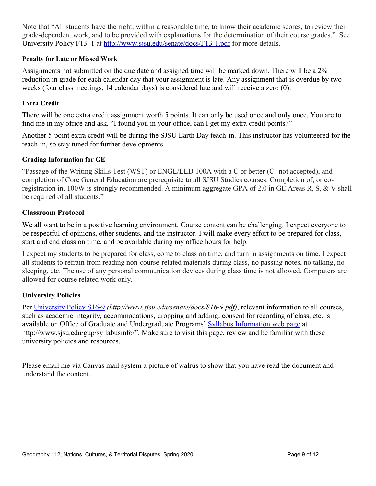Note that "All students have the right, within a reasonable time, to know their academic scores, to review their grade-dependent work, and to be provided with explanations for the determination of their course grades." See University Policy F13–1 at<http://www.sjsu.edu/senate/docs/F13-1.pdf>for more details.

# **Penalty for Late or Missed Work**

Assignments not submitted on the due date and assigned time will be marked down. There will be a 2% reduction in grade for each calendar day that your assignment is late. Any assignment that is overdue by two weeks (four class meetings, 14 calendar days) is considered late and will receive a zero (0).

# **Extra Credit**

There will be one extra credit assignment worth 5 points. It can only be used once and only once. You are to find me in my office and ask, "I found you in your office, can I get my extra credit points?"

Another 5-point extra credit will be during the SJSU Earth Day teach-in. This instructor has volunteered for the teach-in, so stay tuned for further developments.

# **Grading Information for GE**

"Passage of the Writing Skills Test (WST) or ENGL/LLD 100A with a C or better (C‐ not accepted), and completion of Core General Education are prerequisite to all SJSU Studies courses. Completion of, or coregistration in, 100W is strongly recommended. A minimum aggregate GPA of 2.0 in GE Areas R, S, & V shall be required of all students."

# **Classroom Protocol**

We all want to be in a positive learning environment. Course content can be challenging. I expect everyone to be respectful of opinions, other students, and the instructor. I will make every effort to be prepared for class, start and end class on time, and be available during my office hours for help.

I expect my students to be prepared for class, come to class on time, and turn in assignments on time. I expect all students to refrain from reading non-course-related materials during class, no passing notes, no talking, no sleeping, etc. The use of any personal communication devices during class time is not allowed. Computers are allowed for course related work only.

# **University Policies**

Per [University Policy S16-9](http://www.sjsu.edu/senate/docs/S16-9.pdf) *(http://www.sjsu.edu/senate/docs/S16-9.pdf)*, relevant information to all courses, such as academic integrity, accommodations, dropping and adding, consent for recording of class, etc. is available on Office of Graduate and Undergraduate Programs' [Syllabus Information web page](http://www.sjsu.edu/gup/syllabusinfo/) at http://www.sjsu.edu/gup/syllabusinfo/". Make sure to visit this page, review and be familiar with these university policies and resources.

Please email me via Canvas mail system a picture of walrus to show that you have read the document and understand the content.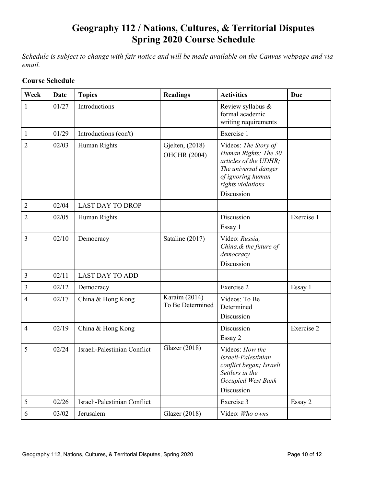# **Geography 112 / Nations, Cultures, & Territorial Disputes Spring 2020 Course Schedule**

*Schedule is subject to change with fair notice and will be made available on the Canvas webpage and via email.* 

| Week           | <b>Date</b> | <b>Topics</b>                | <b>Readings</b>                        | <b>Activities</b>                                                                                                                                     | Due        |
|----------------|-------------|------------------------------|----------------------------------------|-------------------------------------------------------------------------------------------------------------------------------------------------------|------------|
| 1              | 01/27       | Introductions                |                                        | Review syllabus &<br>formal academic<br>writing requirements                                                                                          |            |
| $\mathbf{1}$   | 01/29       | Introductions (con't)        |                                        | Exercise 1                                                                                                                                            |            |
| $\overline{2}$ | 02/03       | Human Rights                 | Gjelten, (2018)<br><b>OHCHR (2004)</b> | Videos: The Story of<br>Human Rights; The 30<br>articles of the UDHR;<br>The universal danger<br>of ignoring human<br>rights violations<br>Discussion |            |
| $\overline{2}$ | 02/04       | <b>LAST DAY TO DROP</b>      |                                        |                                                                                                                                                       |            |
| $\overline{2}$ | 02/05       | Human Rights                 |                                        | Discussion<br>Essay 1                                                                                                                                 | Exercise 1 |
| 3              | 02/10       | Democracy                    | Sataline (2017)                        | Video: Russia,<br>China, & the future of<br>democracy<br>Discussion                                                                                   |            |
| $\overline{3}$ | 02/11       | <b>LAST DAY TO ADD</b>       |                                        |                                                                                                                                                       |            |
| $\mathfrak{Z}$ | 02/12       | Democracy                    |                                        | Exercise 2                                                                                                                                            | Essay 1    |
| $\overline{4}$ | 02/17       | China & Hong Kong            | Karaim (2014)<br>To Be Determined      | Videos: To Be<br>Determined<br>Discussion                                                                                                             |            |
| $\overline{4}$ | 02/19       | China & Hong Kong            |                                        | Discussion<br>Essay 2                                                                                                                                 | Exercise 2 |
| 5              | 02/24       | Israeli-Palestinian Conflict | Glazer (2018)                          | Videos: How the<br>Israeli-Palestinian<br>conflict began; Israeli<br>Settlers in the<br>Occupied West Bank<br>Discussion                              |            |
| 5              | 02/26       | Israeli-Palestinian Conflict |                                        | Exercise 3                                                                                                                                            | Essay 2    |
| 6              | 03/02       | Jerusalem                    | Glazer (2018)                          | Video: Who owns                                                                                                                                       |            |

# **Course Schedule**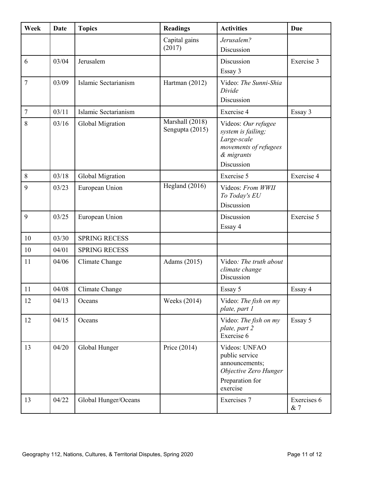| Week           | Date  | <b>Topics</b>        | <b>Readings</b>                    | <b>Activities</b>                                                                                             | Due                |
|----------------|-------|----------------------|------------------------------------|---------------------------------------------------------------------------------------------------------------|--------------------|
|                |       |                      | Capital gains<br>(2017)            | Jerusalem?<br>Discussion                                                                                      |                    |
| 6              | 03/04 | Jerusalem            |                                    | Discussion<br>Essay 3                                                                                         | Exercise 3         |
| 7              | 03/09 | Islamic Sectarianism | Hartman (2012)                     | Video: The Sunni-Shia<br>Divide<br>Discussion                                                                 |                    |
| $\overline{7}$ | 03/11 | Islamic Sectarianism |                                    | Exercise 4                                                                                                    | Essay 3            |
| 8              | 03/16 | Global Migration     | Marshall (2018)<br>Sengupta (2015) | Videos: Our refugee<br>system is failing;<br>Large-scale<br>movements of refugees<br>& migrants<br>Discussion |                    |
| 8              | 03/18 | Global Migration     |                                    | Exercise 5                                                                                                    | Exercise 4         |
| 9              | 03/23 | European Union       | Hegland (2016)                     | Videos: From WWII<br>To Today's EU<br>Discussion                                                              |                    |
| 9              | 03/25 | European Union       |                                    | Discussion<br>Essay 4                                                                                         | Exercise 5         |
| 10             | 03/30 | <b>SPRING RECESS</b> |                                    |                                                                                                               |                    |
| 10             | 04/01 | <b>SPRING RECESS</b> |                                    |                                                                                                               |                    |
| 11             | 04/06 | Climate Change       | Adams (2015)                       | Video: The truth about<br>climate change<br>Discussion                                                        |                    |
| 11             | 04/08 | Climate Change       |                                    | Essay 5                                                                                                       | Essay 4            |
| 12             | 04/13 | Oceans               | Weeks (2014)                       | Video: The fish on my<br>plate, part 1                                                                        |                    |
| 12             | 04/15 | Oceans               |                                    | Video: The fish on my<br>plate, part 2<br>Exercise 6                                                          | Essay 5            |
| 13             | 04/20 | Global Hunger        | Price $(2014)$                     | Videos: UNFAO<br>public service<br>announcements;<br>Objective Zero Hunger<br>Preparation for<br>exercise     |                    |
| 13             | 04/22 | Global Hunger/Oceans |                                    | Exercises 7                                                                                                   | Exercises 6<br>& 7 |